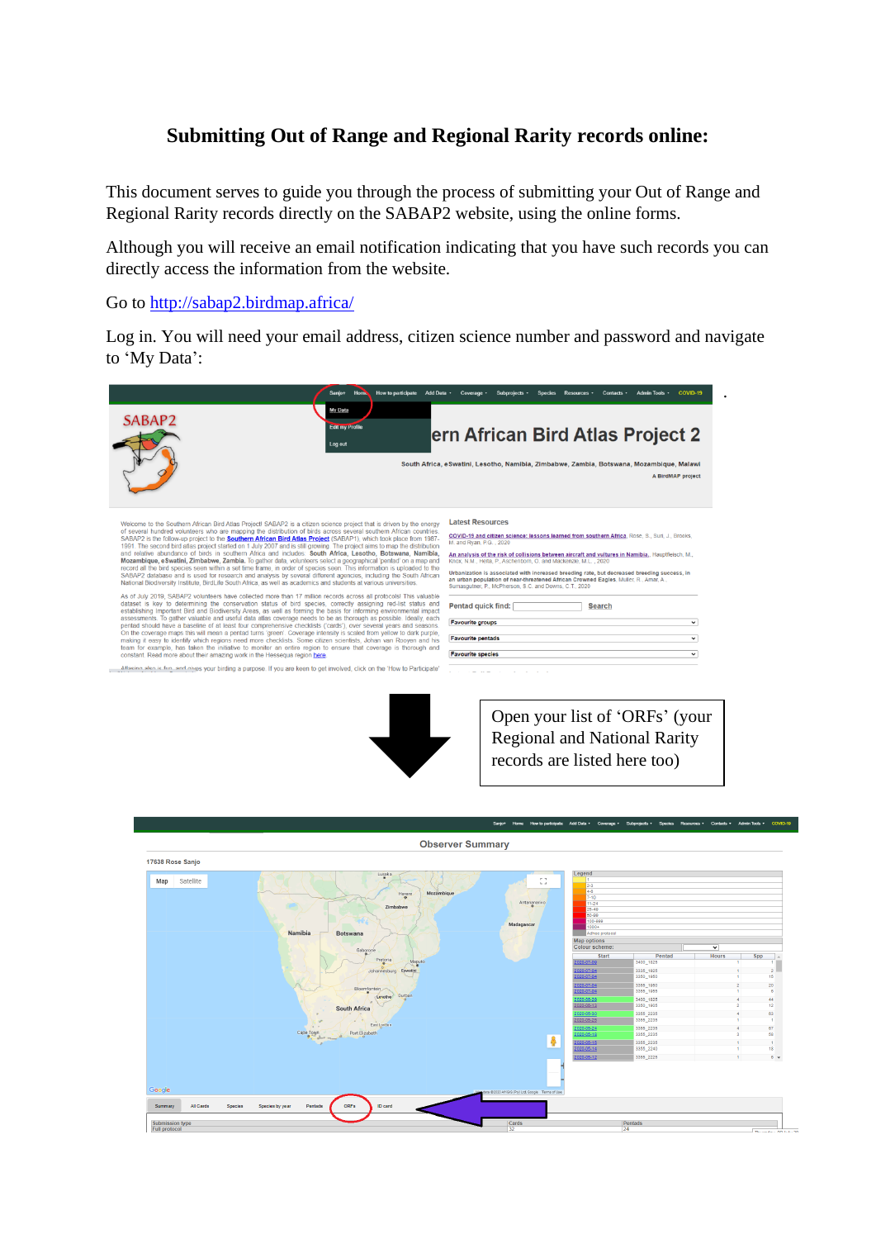## **Submitting Out of Range and Regional Rarity records online:**

This document serves to guide you through the process of submitting your Out of Range and Regional Rarity records directly on the SABAP2 website, using the online forms.

Although you will receive an email notification indicating that you have such records you can directly access the information from the website.

Go to<http://sabap2.birdmap.africa/>

Log in. You will need your email address, citizen science number and password and navigate to 'My Data':



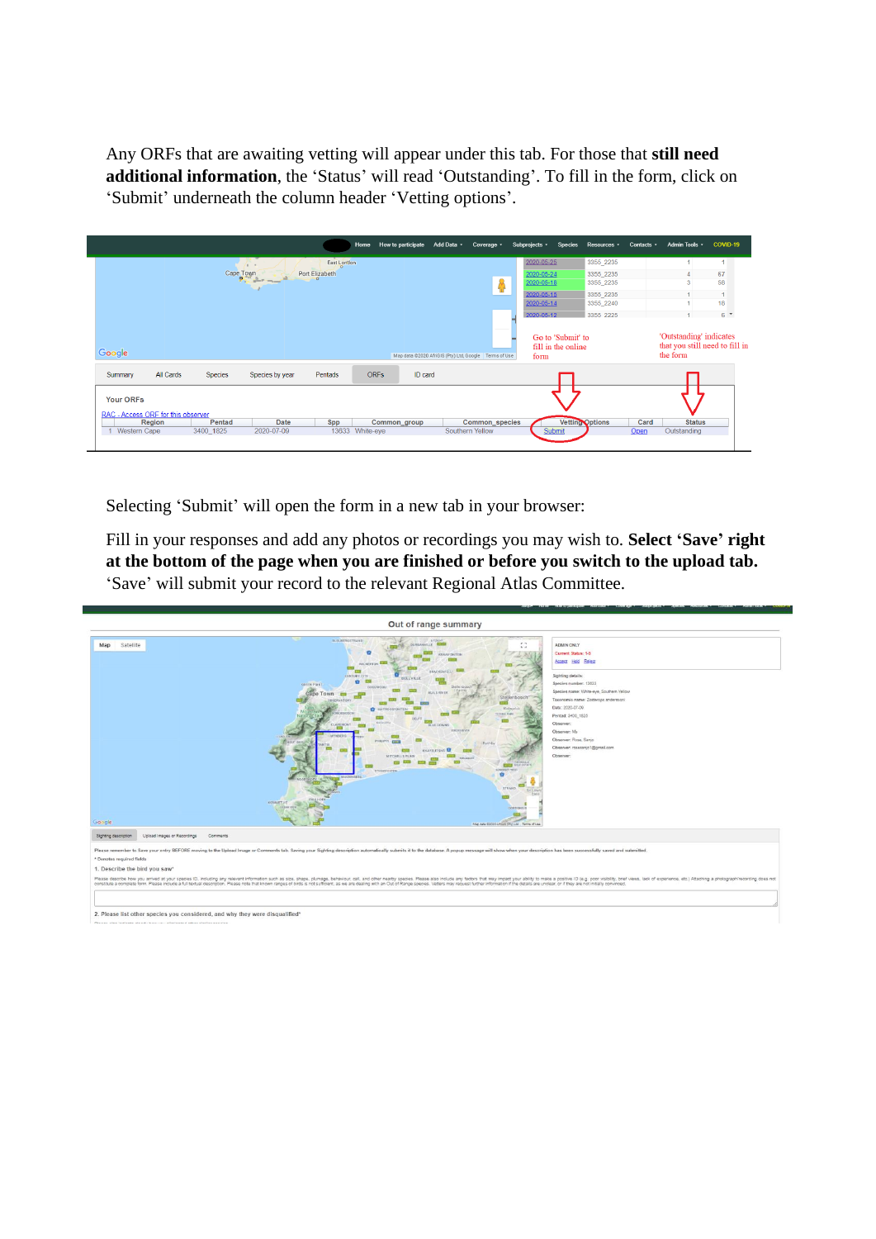Any ORFs that are awaiting vetting will appear under this tab. For those that **still need additional information**, the 'Status' will read 'Outstanding'. To fill in the form, click on 'Submit' underneath the column header 'Vetting options'.

|                                                        |           |                |                 |                | Home            | How to participate Add Data . | Coverage *                                            | Subprojects * | Species                                 | Resources ·            | Contacts - | Admin Tools *                                                         | COVID-19       |
|--------------------------------------------------------|-----------|----------------|-----------------|----------------|-----------------|-------------------------------|-------------------------------------------------------|---------------|-----------------------------------------|------------------------|------------|-----------------------------------------------------------------------|----------------|
|                                                        |           |                | $\sim$          | East London    |                 |                               |                                                       | 2020-05-25    |                                         | 3355_2235              |            |                                                                       | 1              |
|                                                        |           | Cape Town      |                 | Port Elizabeth |                 |                               |                                                       | 2020-05-24    |                                         | 3355 2235              |            |                                                                       | 67             |
|                                                        |           |                |                 |                |                 |                               |                                                       | 2020-05-18    |                                         | 3355_2235              |            | 3                                                                     | 58             |
|                                                        |           |                |                 |                |                 |                               |                                                       | 2020-05-15    |                                         | 3355 2235              |            |                                                                       | $\overline{1}$ |
|                                                        |           |                |                 |                |                 |                               |                                                       | 2020-05-14    |                                         | 3355_2240              |            |                                                                       | 18             |
|                                                        |           |                |                 |                |                 |                               |                                                       | 2020-05-12    |                                         | 3355 2225              |            |                                                                       | 6 <sup>4</sup> |
| Google                                                 |           |                |                 |                |                 |                               | Map data @2020 AfriGIS (Pty) Ltd, Google Terms of Use | form          | Go to 'Submit' to<br>fill in the online |                        |            | 'Outstanding' indicates<br>that you still need to fill in<br>the form |                |
| Summary                                                | All Cards | <b>Species</b> | Species by year | Pentads        | <b>ORFs</b>     | ID card                       |                                                       |               |                                         |                        |            |                                                                       |                |
| <b>Your ORFs</b><br>RAC - Access ORF for this observer | Region    | Pentad         | Date            | Spp            |                 | Common_group                  | Common_species                                        |               |                                         | <b>Vetting Options</b> | Card       | <b>Status</b>                                                         |                |
| <b>Western Cape</b>                                    |           | 3400 1825      | 2020-07-09      |                | 13633 White-eye |                               | Southern Yellow                                       |               | Submit                                  |                        | Qpen       | Outstanding                                                           |                |
|                                                        |           |                |                 |                |                 |                               |                                                       |               |                                         |                        |            |                                                                       |                |

Selecting 'Submit' will open the form in a new tab in your browser:

Fill in your responses and add any photos or recordings you may wish to. **Select 'Save' right at the bottom of the page when you are finished or before you switch to the upload tab.**  'Save' will submit your record to the relevant Regional Atlas Committee.

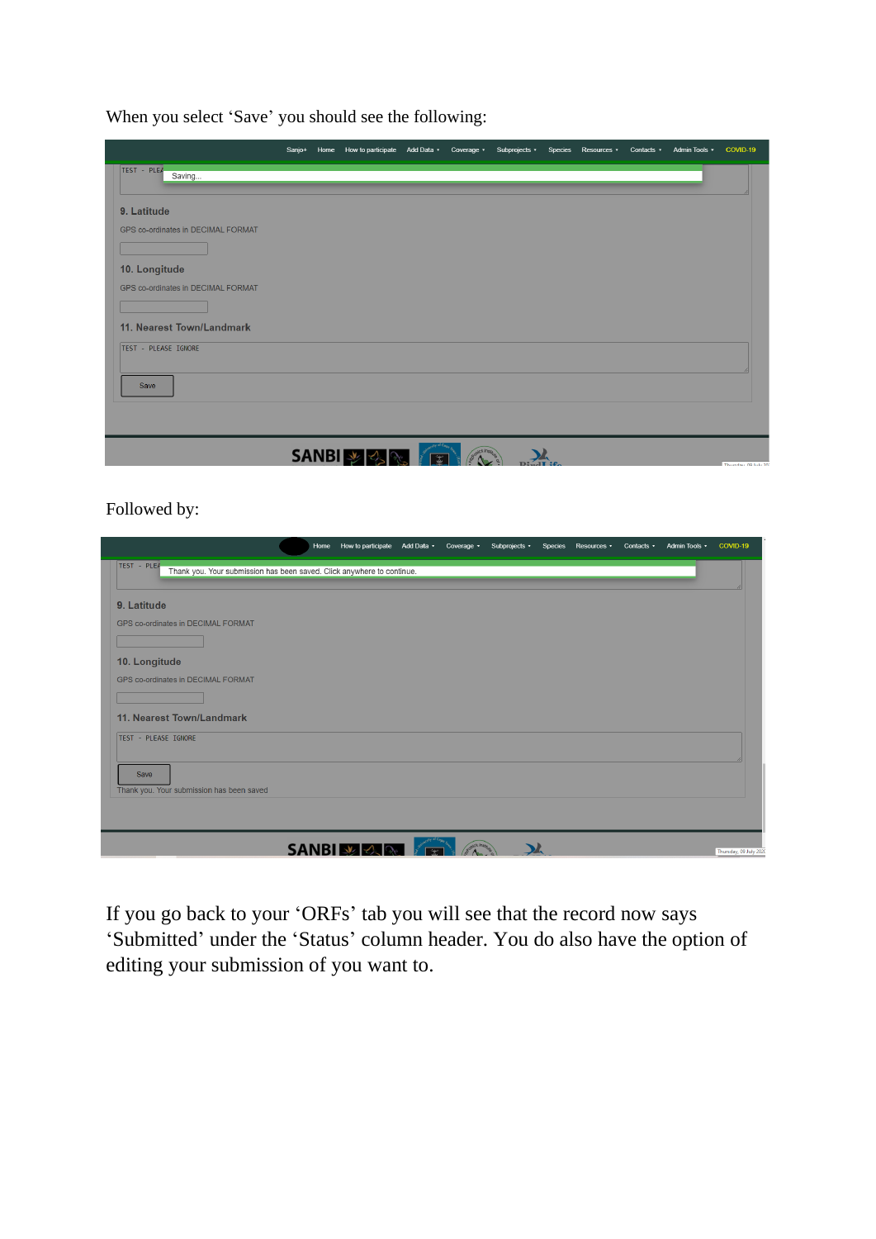When you select 'Save' you should see the following:

|                                    |              | Sanjo+ Home How to participate Add Data - Coverage - Subprojects - Species Resources - Contacts - Admin Tools - COVID-19 |  |  |  |                     |
|------------------------------------|--------------|--------------------------------------------------------------------------------------------------------------------------|--|--|--|---------------------|
| TEST - PLEA<br>Saving              |              |                                                                                                                          |  |  |  |                     |
|                                    |              |                                                                                                                          |  |  |  |                     |
| 9. Latitude                        |              |                                                                                                                          |  |  |  |                     |
| GPS co-ordinates in DECIMAL FORMAT |              |                                                                                                                          |  |  |  |                     |
|                                    |              |                                                                                                                          |  |  |  |                     |
| 10. Longitude                      |              |                                                                                                                          |  |  |  |                     |
| GPS co-ordinates in DECIMAL FORMAT |              |                                                                                                                          |  |  |  |                     |
|                                    |              |                                                                                                                          |  |  |  |                     |
| 11. Nearest Town/Landmark          |              |                                                                                                                          |  |  |  |                     |
| TEST - PLEASE IGNORE               |              |                                                                                                                          |  |  |  |                     |
|                                    |              |                                                                                                                          |  |  |  |                     |
| Save                               |              |                                                                                                                          |  |  |  |                     |
|                                    |              |                                                                                                                          |  |  |  |                     |
|                                    |              |                                                                                                                          |  |  |  |                     |
|                                    | <b>SANBI</b> | みみ                                                                                                                       |  |  |  | Thursday 00 luke 20 |

Followed by:

|                                           |                                                                        | Home How to participate Add Data v | Coverage v            | Subprojects v | Species Resources • | Contacts + | Admin Tools v COVID-19 |                        |
|-------------------------------------------|------------------------------------------------------------------------|------------------------------------|-----------------------|---------------|---------------------|------------|------------------------|------------------------|
| TEST - PLEA                               | Thank you. Your submission has been saved. Click anywhere to continue. |                                    |                       |               |                     |            |                        |                        |
| 9. Latitude                               |                                                                        |                                    |                       |               |                     |            |                        |                        |
| GPS co-ordinates in DECIMAL FORMAT        |                                                                        |                                    |                       |               |                     |            |                        |                        |
|                                           |                                                                        |                                    |                       |               |                     |            |                        |                        |
|                                           |                                                                        |                                    |                       |               |                     |            |                        |                        |
| 10. Longitude                             |                                                                        |                                    |                       |               |                     |            |                        |                        |
| <b>GPS co-ordinates in DECIMAL FORMAT</b> |                                                                        |                                    |                       |               |                     |            |                        |                        |
|                                           |                                                                        |                                    |                       |               |                     |            |                        |                        |
| 11. Nearest Town/Landmark                 |                                                                        |                                    |                       |               |                     |            |                        |                        |
| TEST - PLEASE IGNORE                      |                                                                        |                                    |                       |               |                     |            |                        |                        |
|                                           |                                                                        |                                    |                       |               |                     |            |                        |                        |
|                                           |                                                                        |                                    |                       |               |                     |            |                        |                        |
| Save                                      |                                                                        |                                    |                       |               |                     |            |                        |                        |
|                                           | Thank you. Your submission has been saved                              |                                    |                       |               |                     |            |                        |                        |
|                                           |                                                                        |                                    |                       |               |                     |            |                        |                        |
|                                           |                                                                        |                                    |                       |               |                     |            |                        |                        |
|                                           |                                                                        | <b>SANBILY &amp; R</b>             | <b>NOCK Institute</b> |               |                     |            |                        | Thursday, 09 July 2020 |

If you go back to your 'ORFs' tab you will see that the record now says 'Submitted' under the 'Status' column header. You do also have the option of editing your submission of you want to.